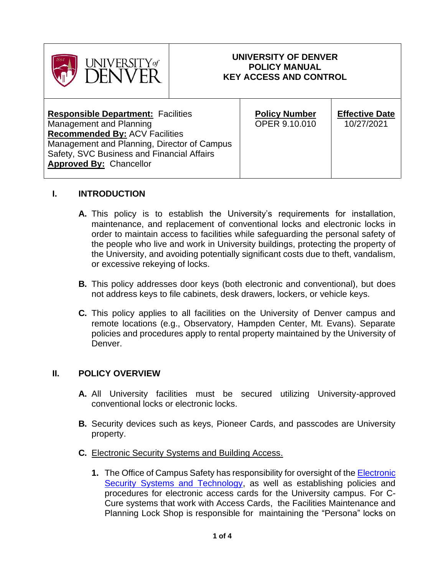

### **UNIVERSITY OF DENVER POLICY MANUAL KEY ACCESS AND CONTROL**

| <b>Responsible Department: Facilities</b><br>Management and Planning<br><b>Recommended By: ACV Facilities</b>               | <b>Policy Number</b><br><b>OPER 9.10.010</b> | <b>Effective Date</b><br>10/27/2021 |
|-----------------------------------------------------------------------------------------------------------------------------|----------------------------------------------|-------------------------------------|
| Management and Planning, Director of Campus<br>Safety, SVC Business and Financial Affairs<br><b>Approved By: Chancellor</b> |                                              |                                     |

### **I. INTRODUCTION**

- **A.** This policy is to establish the University's requirements for installation, maintenance, and replacement of conventional locks and electronic locks in order to maintain access to facilities while safeguarding the personal safety of the people who live and work in University buildings, protecting the property of the University, and avoiding potentially significant costs due to theft, vandalism, or excessive rekeying of locks.
- **B.** This policy addresses door keys (both electronic and conventional), but does not address keys to file cabinets, desk drawers, lockers, or vehicle keys.
- **C.** This policy applies to all facilities on the University of Denver campus and remote locations (e.g., Observatory, Hampden Center, Mt. Evans). Separate policies and procedures apply to rental property maintained by the University of Denver.

# **II. POLICY OVERVIEW**

- **A.** All University facilities must be secured utilizing University-approved conventional locks or electronic locks.
- **B.** Security devices such as keys, Pioneer Cards, and passcodes are University property.
- **C.** Electronic Security Systems and Building Access.
	- **1.** The Office of Campus Safety has responsibility for oversight of the [Electronic](https://www.du.edu/campussafety/our-services/electronic-security-systems-technology)  [Security Systems and Technology,](https://www.du.edu/campussafety/our-services/electronic-security-systems-technology) as well as establishing policies and procedures for electronic access cards for the University campus. For C-Cure systems that work with Access Cards, the Facilities Maintenance and Planning Lock Shop is responsible for maintaining the "Persona" locks on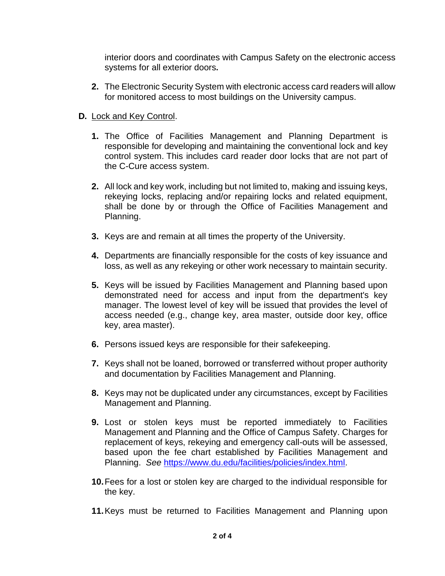interior doors and coordinates with Campus Safety on the electronic access systems for all exterior doors**.**

**2.** The Electronic Security System with electronic access card readers will allow for monitored access to most buildings on the University campus.

# **D.** Lock and Key Control.

- **1.** The Office of Facilities Management and Planning Department is responsible for developing and maintaining the conventional lock and key control system. This includes card reader door locks that are not part of the C-Cure access system.
- **2.** All lock and key work, including but not limited to, making and issuing keys, rekeying locks, replacing and/or repairing locks and related equipment, shall be done by or through the Office of Facilities Management and Planning.
- **3.** Keys are and remain at all times the property of the University.
- **4.** Departments are financially responsible for the costs of key issuance and loss, as well as any rekeying or other work necessary to maintain security.
- **5.** Keys will be issued by Facilities Management and Planning based upon demonstrated need for access and input from the department's key manager. The lowest level of key will be issued that provides the level of access needed (e.g., change key, area master, outside door key, office key, area master).
- **6.** Persons issued keys are responsible for their safekeeping.
- **7.** Keys shall not be loaned, borrowed or transferred without proper authority and documentation by Facilities Management and Planning.
- **8.** Keys may not be duplicated under any circumstances, except by Facilities Management and Planning.
- **9.** Lost or stolen keys must be reported immediately to Facilities Management and Planning and the Office of Campus Safety. Charges for replacement of keys, rekeying and emergency call-outs will be assessed, based upon the fee chart established by Facilities Management and Planning. *See* [https://www.du.edu/facilities/policies/index.html.](https://www.du.edu/facilities/policies/index.html)
- **10.**Fees for a lost or stolen key are charged to the individual responsible for the key.
- **11.**Keys must be returned to Facilities Management and Planning upon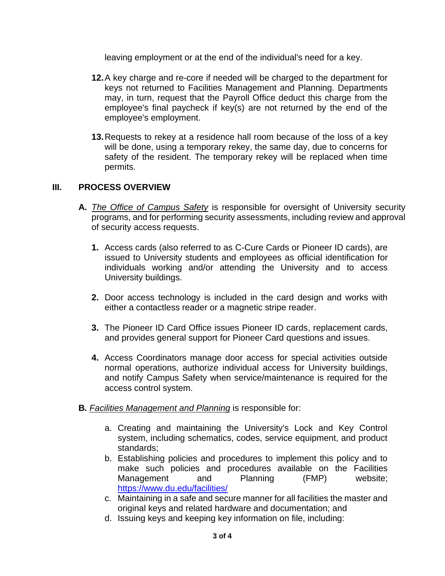leaving employment or at the end of the individual's need for a key.

- **12.**A key charge and re-core if needed will be charged to the department for keys not returned to Facilities Management and Planning. Departments may, in turn, request that the Payroll Office deduct this charge from the employee's final paycheck if key(s) are not returned by the end of the employee's employment.
- **13.**Requests to rekey at a residence hall room because of the loss of a key will be done, using a temporary rekey, the same day, due to concerns for safety of the resident. The temporary rekey will be replaced when time permits.

### **III. PROCESS OVERVIEW**

- **A.** *The Office of Campus Safety* is responsible for oversight of University security programs, and for performing security assessments, including review and approval of security access requests.
	- **1.** Access cards (also referred to as C-Cure Cards or Pioneer ID cards), are issued to University students and employees as official identification for individuals working and/or attending the University and to access University buildings.
	- **2.** Door access technology is included in the card design and works with either a contactless reader or a magnetic stripe reader.
	- **3.** The Pioneer ID Card Office issues Pioneer ID cards, replacement cards, and provides general support for Pioneer Card questions and issues.
	- **4.** Access Coordinators manage door access for special activities outside normal operations, authorize individual access for University buildings, and notify Campus Safety when service/maintenance is required for the access control system.
- **B.** *Facilities Management and Planning* is responsible for:
	- a. Creating and maintaining the University's Lock and Key Control system, including schematics, codes, service equipment, and product standards;
	- b. Establishing policies and procedures to implement this policy and to make such policies and procedures available on the Facilities Management and Planning (FMP) [website;](https://www.du.edu/facilities/policies/index.html) <https://www.du.edu/facilities/>
	- c. Maintaining in a safe and secure manner for all facilities the master and original keys and related hardware and documentation; and
	- d. Issuing keys and keeping key information on file, including: